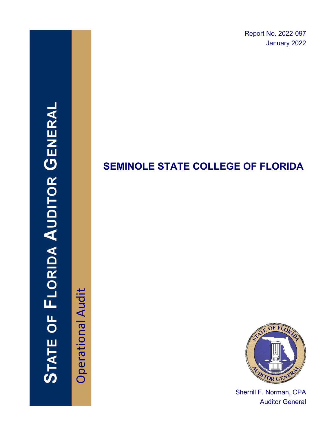Report No. 2022-097 January 2022

# **STATE OF FLORIDA AUDITOR GENERAI**

Operational Audit **Operational Audit** 

# **SEMINOLE STATE COLLEGE OF FLORIDA**



Sherrill F. Norman, CPA Auditor General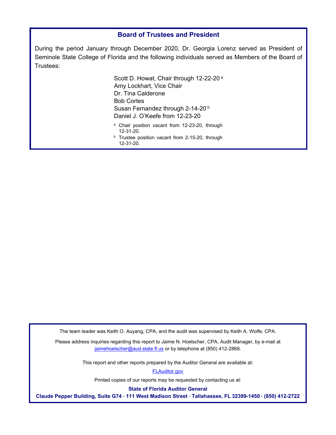#### **Board of Trustees and President**

During the period January through December 2020, Dr. Georgia Lorenz served as President of Seminole State College of Florida and the following individuals served as Members of the Board of Trustees:

> Scott D. Howat, Chair through 12-22-20<sup>a</sup> Amy Lockhart, Vice Chair Dr. Tina Calderone Bob Cortes Susan Fernandez through 2-14-20<sup>b</sup> Daniel J. O'Keefe from 12-23-20

- a Chair position vacant from 12-23-20, through 12-31-20.<br>**b** Trustee position vacant from 2-15-20, through
- 12-31-20.

The team leader was Keith O. Auyang, CPA, and the audit was supervised by Keith A. Wolfe, CPA.

Please address inquiries regarding this report to Jaime N. Hoelscher, CPA, Audit Manager, by e-mail at jaimehoelscher@aud.state.fl.us or by telephone at (850) 412-2868.

This report and other reports prepared by the Auditor General are available at:

[FLAuditor.gov](http://flauditor.gov/) 

Printed copies of our reports may be requested by contacting us at:

**State of Florida Auditor General** 

**Claude Pepper Building, Suite G74 ∙ 111 West Madison Street ∙ Tallahassee, FL 32399-1450 ∙ (850) 412-2722**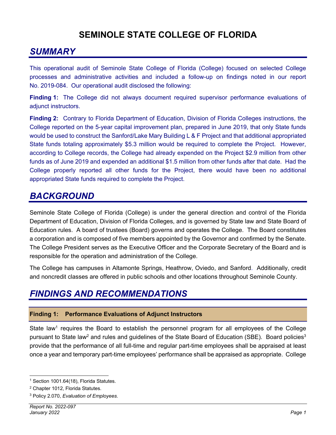# **SEMINOLE STATE COLLEGE OF FLORIDA**

# *SUMMARY*

This operational audit of Seminole State College of Florida (College) focused on selected College processes and administrative activities and included a follow-up on findings noted in our report No. 2019-084. Our operational audit disclosed the following:

**Finding 1:** The College did not always document required supervisor performance evaluations of adjunct instructors.

**Finding 2:** Contrary to Florida Department of Education, Division of Florida Colleges instructions, the College reported on the 5-year capital improvement plan, prepared in June 2019, that only State funds would be used to construct the Sanford/Lake Mary Building L & F Project and that additional appropriated State funds totaling approximately \$5.3 million would be required to complete the Project. However, according to College records, the College had already expended on the Project \$2.9 million from other funds as of June 2019 and expended an additional \$1.5 million from other funds after that date. Had the College properly reported all other funds for the Project, there would have been no additional appropriated State funds required to complete the Project.

## *BACKGROUND*

Seminole State College of Florida (College) is under the general direction and control of the Florida Department of Education, Division of Florida Colleges, and is governed by State law and State Board of Education rules. A board of trustees (Board) governs and operates the College. The Board constitutes a corporation and is composed of five members appointed by the Governor and confirmed by the Senate. The College President serves as the Executive Officer and the Corporate Secretary of the Board and is responsible for the operation and administration of the College.

The College has campuses in Altamonte Springs, Heathrow, Oviedo, and Sanford. Additionally, credit and noncredit classes are offered in public schools and other locations throughout Seminole County.

# *FINDINGS AND RECOMMENDATIONS*

#### **Finding 1: Performance Evaluations of Adjunct Instructors**

State law<sup>1</sup> requires the Board to establish the personnel program for all employees of the College pursuant to State law<sup>2</sup> and rules and guidelines of the State Board of Education (SBE). Board policies<sup>3</sup> provide that the performance of all full-time and regular part-time employees shall be appraised at least once a year and temporary part-time employees' performance shall be appraised as appropriate. College

<sup>&</sup>lt;sup>1</sup> Section 1001.64(18), Florida Statutes.

<sup>2</sup> Chapter 1012, Florida Statutes.

<sup>3</sup> Policy 2.070, *Evaluation of Employees*.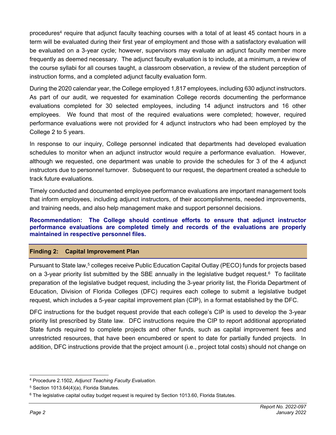procedures<sup>4</sup> require that adjunct faculty teaching courses with a total of at least 45 contact hours in a term will be evaluated during their first year of employment and those with a satisfactory evaluation will be evaluated on a 3-year cycle; however, supervisors may evaluate an adjunct faculty member more frequently as deemed necessary. The adjunct faculty evaluation is to include, at a minimum, a review of the course syllabi for all courses taught, a classroom observation, a review of the student perception of instruction forms, and a completed adjunct faculty evaluation form.

During the 2020 calendar year, the College employed 1,817 employees, including 630 adjunct instructors. As part of our audit, we requested for examination College records documenting the performance evaluations completed for 30 selected employees, including 14 adjunct instructors and 16 other employees. We found that most of the required evaluations were completed; however, required performance evaluations were not provided for 4 adjunct instructors who had been employed by the College 2 to 5 years.

In response to our inquiry, College personnel indicated that departments had developed evaluation schedules to monitor when an adjunct instructor would require a performance evaluation. However, although we requested, one department was unable to provide the schedules for 3 of the 4 adjunct instructors due to personnel turnover. Subsequent to our request, the department created a schedule to track future evaluations.

Timely conducted and documented employee performance evaluations are important management tools that inform employees, including adjunct instructors, of their accomplishments, needed improvements, and training needs, and also help management make and support personnel decisions.

**Recommendation: The College should continue efforts to ensure that adjunct instructor performance evaluations are completed timely and records of the evaluations are properly maintained in respective personnel files.** 

#### **Finding 2: Capital Improvement Plan**

Pursuant to State law,<sup>5</sup> colleges receive Public Education Capital Outlay (PECO) funds for projects based on a 3-year priority list submitted by the SBE annually in the legislative budget request.6 To facilitate preparation of the legislative budget request, including the 3-year priority list, the Florida Department of Education, Division of Florida Colleges (DFC) requires each college to submit a legislative budget request, which includes a 5-year capital improvement plan (CIP), in a format established by the DFC.

DFC instructions for the budget request provide that each college's CIP is used to develop the 3-year priority list prescribed by State law. DFC instructions require the CIP to report additional appropriated State funds required to complete projects and other funds, such as capital improvement fees and unrestricted resources, that have been encumbered or spent to date for partially funded projects. In addition, DFC instructions provide that the project amount (i.e., project total costs) should not change on

<sup>4</sup> Procedure 2.1502, *Adjunct Teaching Faculty Evaluation*.

<sup>5</sup> Section 1013.64(4)(a), Florida Statutes.

<sup>&</sup>lt;sup>6</sup> The legislative capital outlay budget request is required by Section 1013.60, Florida Statutes.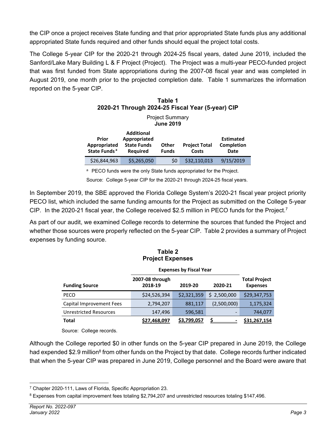the CIP once a project receives State funding and that prior appropriated State funds plus any additional appropriated State funds required and other funds should equal the project total costs.

The College 5-year CIP for the 2020-21 through 2024-25 fiscal years, dated June 2019, included the Sanford/Lake Mary Building L & F Project (Project). The Project was a multi-year PECO-funded project that was first funded from State appropriations during the 2007-08 fiscal year and was completed in August 2019, one month prior to the projected completion date. Table 1 summarizes the information reported on the 5-year CIP.

**Table 1** 

| l able 1<br>2020-21 Through 2024-25 Fiscal Year (5-year) CIP |                                                                     |                       |                               |                                        |  |  |  |
|--------------------------------------------------------------|---------------------------------------------------------------------|-----------------------|-------------------------------|----------------------------------------|--|--|--|
| <b>Project Summary</b><br><b>June 2019</b>                   |                                                                     |                       |                               |                                        |  |  |  |
| Prior<br>Appropriated<br>State Funds <sup>a</sup>            | Additional<br>Appropriated<br><b>State Funds</b><br><b>Required</b> | Other<br><b>Funds</b> | <b>Project Total</b><br>Costs | <b>Estimated</b><br>Completion<br>Date |  |  |  |
| \$26,844,963                                                 | \$5,265,050                                                         | \$0                   | \$32,110,013                  | 9/15/2019                              |  |  |  |

<sup>a</sup> PECO funds were the only State funds appropriated for the Project.

Source: College 5-year CIP for the 2020-21 through 2024-25 fiscal years.

In September 2019, the SBE approved the Florida College System's 2020-21 fiscal year project priority PECO list, which included the same funding amounts for the Project as submitted on the College 5-year CIP. In the 2020-21 fiscal year, the College received \$2.5 million in PECO funds for the Project.7

As part of our audit, we examined College records to determine the sources that funded the Project and whether those sources were properly reflected on the 5-year CIP. Table 2 provides a summary of Project expenses by funding source.

| <b>Project Expenses</b>       |                                |             |             |                                         |  |  |
|-------------------------------|--------------------------------|-------------|-------------|-----------------------------------------|--|--|
|                               | <b>Expenses by Fiscal Year</b> |             |             |                                         |  |  |
| <b>Funding Source</b>         | 2007-08 through<br>2018-19     | 2019-20     | 2020-21     | <b>Total Project</b><br><b>Expenses</b> |  |  |
| <b>PECO</b>                   | \$24,526,394                   | \$2,321,359 | \$2,500,000 | \$29,347,753                            |  |  |
| Capital Improvement Fees      | 2,794,207                      | 881,117     | (2,500,000) | 1,175,324                               |  |  |
| <b>Unrestricted Resources</b> | 147,496                        | 596,581     |             | 744,077                                 |  |  |
| <b>Total</b>                  | \$27,468,097                   | \$3,799,057 |             | \$31,267,154                            |  |  |

# **Table 2**

Source: College records.

Although the College reported \$0 in other funds on the 5-year CIP prepared in June 2019, the College had expended \$2.9 million<sup>8</sup> from other funds on the Project by that date. College records further indicated that when the 5-year CIP was prepared in June 2019, College personnel and the Board were aware that

<sup>7</sup> Chapter 2020-111, Laws of Florida, Specific Appropriation 23.

<sup>8</sup> Expenses from capital improvement fees totaling \$2,794,207 and unrestricted resources totaling \$147,496.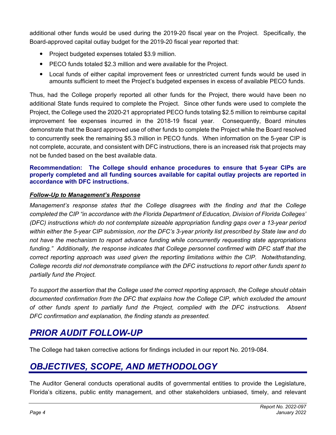additional other funds would be used during the 2019-20 fiscal year on the Project. Specifically, the Board-approved capital outlay budget for the 2019-20 fiscal year reported that:

- Project budgeted expenses totaled \$3.9 million.
- PECO funds totaled \$2.3 million and were available for the Project.
- Local funds of either capital improvement fees or unrestricted current funds would be used in amounts sufficient to meet the Project's budgeted expenses in excess of available PECO funds.

Thus, had the College properly reported all other funds for the Project, there would have been no additional State funds required to complete the Project. Since other funds were used to complete the Project, the College used the 2020-21 appropriated PECO funds totaling \$2.5 million to reimburse capital improvement fee expenses incurred in the 2018-19 fiscal year. Consequently, Board minutes demonstrate that the Board approved use of other funds to complete the Project while the Board resolved to concurrently seek the remaining \$5.3 million in PECO funds. When information on the 5-year CIP is not complete, accurate, and consistent with DFC instructions, there is an increased risk that projects may not be funded based on the best available data.

#### **Recommendation: The College should enhance procedures to ensure that 5-year CIPs are properly completed and all funding sources available for capital outlay projects are reported in accordance with DFC instructions.**

#### *Follow-Up to Management's Response*

*Management's response states that the College disagrees with the finding and that the College completed the CIP "in accordance with the Florida Department of Education, Division of Florida Colleges' (DFC) instructions which do not contemplate sizeable appropriation funding gaps over a 13-year period within either the 5-year CIP submission, nor the DFC's 3-year priority list prescribed by State law and do not have the mechanism to report advance funding while concurrently requesting state appropriations funding." Additionally, the response indicates that College personnel confirmed with DFC staff that the correct reporting approach was used given the reporting limitations within the CIP. Notwithstanding, College records did not demonstrate compliance with the DFC instructions to report other funds spent to partially fund the Project.* 

*To support the assertion that the College used the correct reporting approach, the College should obtain documented confirmation from the DFC that explains how the College CIP, which excluded the amount of other funds spent to partially fund the Project, complied with the DFC instructions. Absent DFC confirmation and explanation, the finding stands as presented.* 

### *PRIOR AUDIT FOLLOW-UP*

The College had taken corrective actions for findings included in our report No. 2019-084.

# *OBJECTIVES, SCOPE, AND METHODOLOGY*

The Auditor General conducts operational audits of governmental entities to provide the Legislature, Florida's citizens, public entity management, and other stakeholders unbiased, timely, and relevant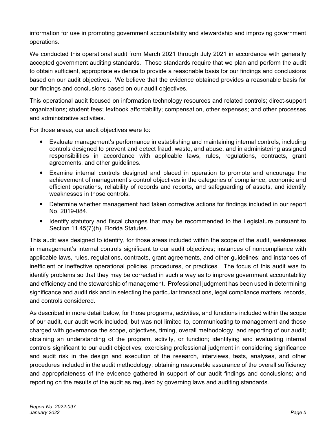information for use in promoting government accountability and stewardship and improving government operations.

We conducted this operational audit from March 2021 through July 2021 in accordance with generally accepted government auditing standards. Those standards require that we plan and perform the audit to obtain sufficient, appropriate evidence to provide a reasonable basis for our findings and conclusions based on our audit objectives. We believe that the evidence obtained provides a reasonable basis for our findings and conclusions based on our audit objectives.

This operational audit focused on information technology resources and related controls; direct-support organizations; student fees; textbook affordability; compensation, other expenses; and other processes and administrative activities.

For those areas, our audit objectives were to:

- Evaluate management's performance in establishing and maintaining internal controls, including controls designed to prevent and detect fraud, waste, and abuse, and in administering assigned responsibilities in accordance with applicable laws, rules, regulations, contracts, grant agreements, and other guidelines.
- Examine internal controls designed and placed in operation to promote and encourage the achievement of management's control objectives in the categories of compliance, economic and efficient operations, reliability of records and reports, and safeguarding of assets, and identify weaknesses in those controls.
- Determine whether management had taken corrective actions for findings included in our report No. 2019-084.
- Identify statutory and fiscal changes that may be recommended to the Legislature pursuant to Section 11.45(7)(h), Florida Statutes.

This audit was designed to identify, for those areas included within the scope of the audit, weaknesses in management's internal controls significant to our audit objectives; instances of noncompliance with applicable laws, rules, regulations, contracts, grant agreements, and other guidelines; and instances of inefficient or ineffective operational policies, procedures, or practices. The focus of this audit was to identify problems so that they may be corrected in such a way as to improve government accountability and efficiency and the stewardship of management. Professional judgment has been used in determining significance and audit risk and in selecting the particular transactions, legal compliance matters, records, and controls considered.

As described in more detail below, for those programs, activities, and functions included within the scope of our audit, our audit work included, but was not limited to, communicating to management and those charged with governance the scope, objectives, timing, overall methodology, and reporting of our audit; obtaining an understanding of the program, activity, or function; identifying and evaluating internal controls significant to our audit objectives; exercising professional judgment in considering significance and audit risk in the design and execution of the research, interviews, tests, analyses, and other procedures included in the audit methodology; obtaining reasonable assurance of the overall sufficiency and appropriateness of the evidence gathered in support of our audit findings and conclusions; and reporting on the results of the audit as required by governing laws and auditing standards.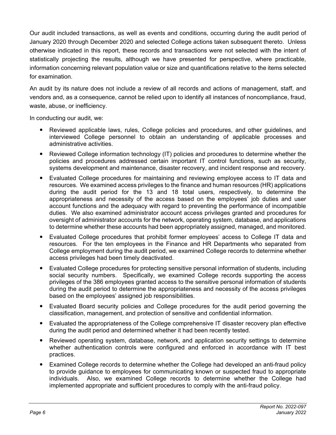Our audit included transactions, as well as events and conditions, occurring during the audit period of January 2020 through December 2020 and selected College actions taken subsequent thereto. Unless otherwise indicated in this report, these records and transactions were not selected with the intent of statistically projecting the results, although we have presented for perspective, where practicable, information concerning relevant population value or size and quantifications relative to the items selected for examination.

An audit by its nature does not include a review of all records and actions of management, staff, and vendors and, as a consequence, cannot be relied upon to identify all instances of noncompliance, fraud, waste, abuse, or inefficiency.

In conducting our audit, we:

- Reviewed applicable laws, rules, College policies and procedures, and other guidelines, and interviewed College personnel to obtain an understanding of applicable processes and administrative activities.
- Reviewed College information technology (IT) policies and procedures to determine whether the policies and procedures addressed certain important IT control functions, such as security, systems development and maintenance, disaster recovery, and incident response and recovery.
- Evaluated College procedures for maintaining and reviewing employee access to IT data and resources. We examined access privileges to the finance and human resources (HR) applications during the audit period for the 13 and 18 total users, respectively, to determine the appropriateness and necessity of the access based on the employees' job duties and user account functions and the adequacy with regard to preventing the performance of incompatible duties. We also examined administrator account access privileges granted and procedures for oversight of administrator accounts for the network, operating system, database, and applications to determine whether these accounts had been appropriately assigned, managed, and monitored.
- Evaluated College procedures that prohibit former employees' access to College IT data and resources. For the ten employees in the Finance and HR Departments who separated from College employment during the audit period, we examined College records to determine whether access privileges had been timely deactivated.
- Evaluated College procedures for protecting sensitive personal information of students, including social security numbers. Specifically, we examined College records supporting the access privileges of the 386 employees granted access to the sensitive personal information of students during the audit period to determine the appropriateness and necessity of the access privileges based on the employees' assigned job responsibilities.
- Evaluated Board security policies and College procedures for the audit period governing the classification, management, and protection of sensitive and confidential information.
- Evaluated the appropriateness of the College comprehensive IT disaster recovery plan effective during the audit period and determined whether it had been recently tested.
- Reviewed operating system, database, network, and application security settings to determine whether authentication controls were configured and enforced in accordance with IT best practices.
- Examined College records to determine whether the College had developed an anti-fraud policy to provide guidance to employees for communicating known or suspected fraud to appropriate individuals. Also, we examined College records to determine whether the College had implemented appropriate and sufficient procedures to comply with the anti-fraud policy.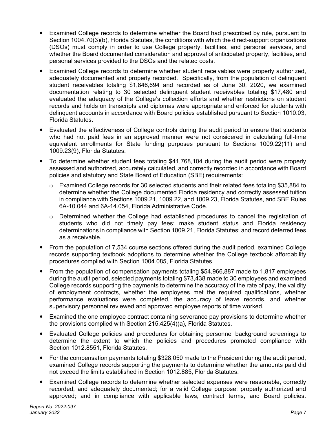- Examined College records to determine whether the Board had prescribed by rule, pursuant to Section 1004.70(3)(b), Florida Statutes, the conditions with which the direct-support organizations (DSOs) must comply in order to use College property, facilities, and personal services, and whether the Board documented consideration and approval of anticipated property, facilities, and personal services provided to the DSOs and the related costs.
- Examined College records to determine whether student receivables were properly authorized, adequately documented and properly recorded. Specifically, from the population of delinquent student receivables totaling \$1,846,694 and recorded as of June 30, 2020, we examined documentation relating to 30 selected delinquent student receivables totaling \$17,480 and evaluated the adequacy of the College's collection efforts and whether restrictions on student records and holds on transcripts and diplomas were appropriate and enforced for students with delinquent accounts in accordance with Board policies established pursuant to Section 1010.03, Florida Statutes.
- Evaluated the effectiveness of College controls during the audit period to ensure that students who had not paid fees in an approved manner were not considered in calculating full-time equivalent enrollments for State funding purposes pursuant to Sections 1009.22(11) and 1009.23(9), Florida Statutes.
- To determine whether student fees totaling \$41,768,104 during the audit period were properly assessed and authorized, accurately calculated, and correctly recorded in accordance with Board policies and statutory and State Board of Education (SBE) requirements:
	- o Examined College records for 30 selected students and their related fees totaling \$35,884 to determine whether the College documented Florida residency and correctly assessed tuition in compliance with Sections 1009.21, 1009.22, and 1009.23, Florida Statutes, and SBE Rules 6A-10.044 and 6A-14.054, Florida Administrative Code.
	- o Determined whether the College had established procedures to cancel the registration of students who did not timely pay fees; make student status and Florida residency determinations in compliance with Section 1009.21, Florida Statutes; and record deferred fees as a receivable.
- From the population of 7,534 course sections offered during the audit period, examined College records supporting textbook adoptions to determine whether the College textbook affordability procedures complied with Section 1004.085, Florida Statutes.
- From the population of compensation payments totaling \$54,966,887 made to 1,817 employees during the audit period, selected payments totaling \$73,438 made to 30 employees and examined College records supporting the payments to determine the accuracy of the rate of pay, the validity of employment contracts, whether the employees met the required qualifications, whether performance evaluations were completed, the accuracy of leave records, and whether supervisory personnel reviewed and approved employee reports of time worked.
- Examined the one employee contract containing severance pay provisions to determine whether the provisions complied with Section 215.425(4)(a), Florida Statutes.
- Evaluated College policies and procedures for obtaining personnel background screenings to determine the extent to which the policies and procedures promoted compliance with Section 1012.8551, Florida Statutes.
- For the compensation payments totaling \$328,050 made to the President during the audit period, examined College records supporting the payments to determine whether the amounts paid did not exceed the limits established in Section 1012.885, Florida Statutes.
- Examined College records to determine whether selected expenses were reasonable, correctly recorded, and adequately documented; for a valid College purpose; properly authorized and approved; and in compliance with applicable laws, contract terms, and Board policies.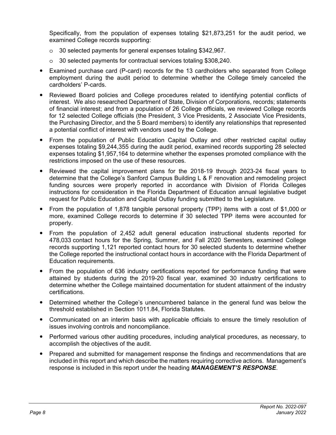Specifically, from the population of expenses totaling \$21,873,251 for the audit period, we examined College records supporting:

- o 30 selected payments for general expenses totaling \$342,967.
- o 30 selected payments for contractual services totaling \$308,240.
- Examined purchase card (P-card) records for the 13 cardholders who separated from College employment during the audit period to determine whether the College timely canceled the cardholders' P-cards.
- Reviewed Board policies and College procedures related to identifying potential conflicts of interest. We also researched Department of State, Division of Corporations, records; statements of financial interest; and from a population of 26 College officials, we reviewed College records for 12 selected College officials (the President, 3 Vice Presidents, 2 Associate Vice Presidents, the Purchasing Director, and the 5 Board members) to identify any relationships that represented a potential conflict of interest with vendors used by the College.
- From the population of Public Education Capital Outlay and other restricted capital outlay expenses totaling \$9,244,355 during the audit period, examined records supporting 28 selected expenses totaling \$1,957,164 to determine whether the expenses promoted compliance with the restrictions imposed on the use of these resources.
- Reviewed the capital improvement plans for the 2018-19 through 2023-24 fiscal years to determine that the College's Sanford Campus Building L & F renovation and remodeling project funding sources were properly reported in accordance with Division of Florida Colleges instructions for consideration in the Florida Department of Education annual legislative budget request for Public Education and Capital Outlay funding submitted to the Legislature.
- From the population of 1,878 tangible personal property (TPP) items with a cost of \$1,000 or more, examined College records to determine if 30 selected TPP items were accounted for properly.
- From the population of 2,452 adult general education instructional students reported for 478,033 contact hours for the Spring, Summer, and Fall 2020 Semesters, examined College records supporting 1,121 reported contact hours for 30 selected students to determine whether the College reported the instructional contact hours in accordance with the Florida Department of Education requirements.
- From the population of 636 industry certifications reported for performance funding that were attained by students during the 2019-20 fiscal year, examined 30 industry certifications to determine whether the College maintained documentation for student attainment of the industry certifications.
- Determined whether the College's unencumbered balance in the general fund was below the threshold established in Section 1011.84, Florida Statutes.
- Communicated on an interim basis with applicable officials to ensure the timely resolution of issues involving controls and noncompliance.
- Performed various other auditing procedures, including analytical procedures, as necessary, to accomplish the objectives of the audit.
- Prepared and submitted for management response the findings and recommendations that are included in this report and which describe the matters requiring corrective actions. Management's response is included in this report under the heading *MANAGEMENT'S RESPONSE*.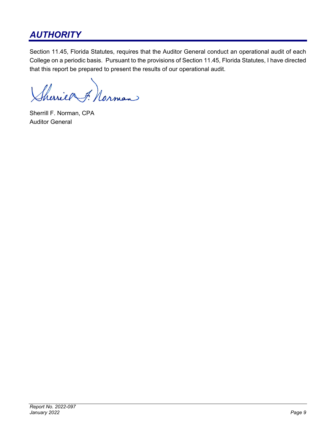# *AUTHORITY*

Section 11.45, Florida Statutes, requires that the Auditor General conduct an operational audit of each College on a periodic basis. Pursuant to the provisions of Section 11.45, Florida Statutes, I have directed that this report be prepared to present the results of our operational audit.

Sheries Annan

Sherrill F. Norman, CPA Auditor General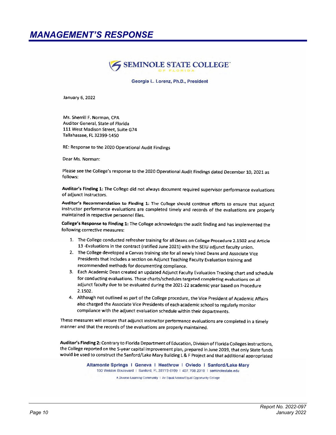# *MANAGEMENT'S RESPONSE*



Georgia L. Lorenz, Ph.D., President

January 6, 2022

Ms. Sherrill F. Norman, CPA Auditor General, State of Florida 111 West Madison Street, Suite G74 Tallahassee, FL 32399-1450

RE: Response to the 2020 Operational Audit Findings

Dear Ms. Norman:

Please see the College's response to the 2020 Operational Audit Findings dated December 10, 2021 as follows:

Auditor's Finding 1: The College did not always document required supervisor performance evaluations of adjunct instructors.

Auditor's Recommendation to Finding 1: The College should continue efforts to ensure that adjunct instructor performance evaluations are completed timely and records of the evaluations are properly maintained in respective personnel files.

College's Response to Finding 1: The College acknowledges the audit finding and has implemented the following corrective measures:

- 1. The College conducted refresher training for all Deans on College Procedure 2.1502 and Article 13 - Evaluations in the contract (ratified June 2021) with the SEIU adjunct faculty union.
- 2. The College developed a Canvas training site for all newly hired Deans and Associate Vice Presidents that includes a section on Adjunct Teaching Faculty Evaluation training and recommended methods for documenting compliance.
- 3. Each Academic Dean created an updated Adjunct Faculty Evaluation Tracking chart and schedule for conducting evaluations. These charts/schedules targeted completing evaluations on all adjunct faculty due to be evaluated during the 2021-22 academic year based on Procedure 2.1502.
- 4. Although not outlined as part of the College procedure, the Vice President of Academic Affairs also charged the Associate Vice Presidents of each academic school to regularly monitor compliance with the adjunct evaluation schedule within their departments.

These measures will ensure that adjunct instructor performance evaluations are completed in a timely manner and that the records of the evaluations are properly maintained.

Auditor's Finding 2: Contrary to Florida Department of Education, Division of Florida Colleges instructions, the College reported on the 5-year capital improvement plan, prepared in June 2019, that only State funds would be used to construct the Sanford/Lake Mary Building L & F Project and that additional appropriated

> Altamonte Springs | Geneva | Heathrow | Oviedo | Sanford/Lake Mary 100 Weldon Boulevard | Sanford, FL 32773-6199 | 407, 708, 2010 | seminolestate.edu

A Diverse Learning Community | An Equal Access/Equal Opportunity College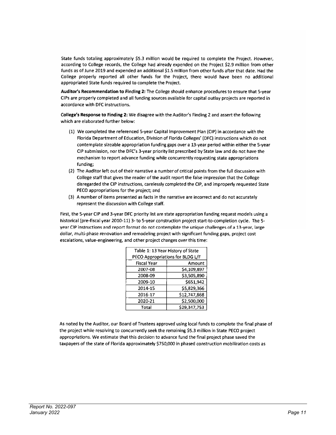State funds totaling approximately \$5.3 million would be required to complete the Project. However, according to College records, the College had already expended on the Project \$2.9 million from other funds as of June 2019 and expended an additional \$1.5 million from other funds after that date. Had the College properly reported all other funds for the Project, there would have been no additional appropriated State funds required to complete the Project.

Auditor's Recommendation to Finding 2: The College should enhance procedures to ensure that 5-year CIPs are properly completed and all funding sources available for capital outlay projects are reported in accordance with DFC instructions.

College's Response to Finding 2: We disagree with the Auditor's Finding 2 and assert the following which are elaborated further below:

- (1) We completed the referenced 5-year Capital Improvement Plan (CIP) in accordance with the Florida Department of Education, Division of Florida Colleges' (DFC) instructions which do not contemplate sizeable appropriation funding gaps over a 13-year period within either the 5-year CIP submission, nor the DFC's 3-year priority list prescribed by 5tate law and do not have the mechanism to report advance funding while concurrently requesting state appropriations funding;
- (2) The Auditor left out of their narrative a number of critical points from the full discussion with College staff that gives the reader of the audit report the false impression that the College disregarded the CIP instructions, carelessly completed the CIP, and improperly requested State PECO appropriations for the project; and
- (3) A number of items presented as facts in the narrative are incorrect and do not accurately represent the discussion with College staff.

First, the 5-year CIP and 3-year DFC priority list are state appropriation funding request models using a historical (pre-fiscal year 2010-11) 3- to 5-year construction project start-to-completion cycle. The 5year CIP instructions and report format do not contemplate the unique challenges of a 13-year, large dollar, multi-phase renovation and remodeling project with significant funding gaps, project cost escalations, value-engineering, and other project changes over this time:

| Table 1: 13 Year History of State |              |  |  |  |
|-----------------------------------|--------------|--|--|--|
| PECO Appropriations for BLDG L/F  |              |  |  |  |
| <b>Fiscal Year</b>                | Amount       |  |  |  |
| 2007-08                           | \$4,109,897  |  |  |  |
| 2008-09                           | \$3,505,890  |  |  |  |
| 2009-10                           | \$651,942    |  |  |  |
| 2014-15                           | \$5,829,366  |  |  |  |
| 2016-17                           | \$12,747,868 |  |  |  |
| 2020-21                           | \$2,500,000  |  |  |  |
| Total                             | \$29,347,753 |  |  |  |

As noted by the Auditor, our Board of Trustees approved using local funds to complete the final phase of the project while resolving to concurrently seek the remaining \$5.3 million in State PECO project appropriations. We estimate that this decision to advance fund the final project phase saved the taxpayers of the state of Florida approximately \$750,000 in phased construction mobilization costs as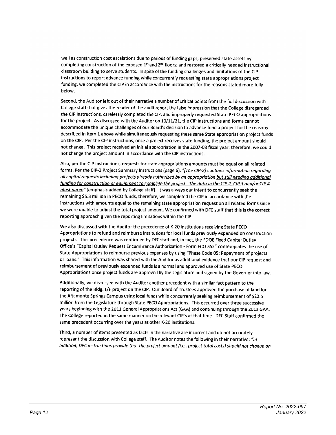well as construction cost escalations due to periods of funding gaps; preserved state assets by completing construction of the exposed 1st and 2<sup>nd</sup> floors; and restored a critically needed instructional classroom building to serve students. In spite of the funding challenges and limitations of the CIP instructions to report advance funding while concurrently requesting state appropriations project funding, we completed the CIP in accordance with the instructions for the reasons stated more fully below.

Second, the Auditor left out of their narrative a number of critical points from the full discussion with College staff that gives the reader of the audit report the false impression that the College disregarded the CIP instructions, carelessly completed the CIP, and improperly requested State PECO appropriations for the project. As discussed with the Auditor on 10/11/21, the CIP instructions and forms cannot accommodate the unique challenges of our Board's decision to advance fund a project for the reasons described in Item 1 above while simultaneously requesting these same State appropriation project funds on the CIP. Per the CIP instructions, once a project receives state funding, the project amount should not change. This project received an initial appropriation in the 2007-08 fiscal year; therefore, we could not change the project amount in accordance with the CIP instructions.

Also, per the CIP instructions, requests for state appropriations amounts must be equal on all related forms. Per the CIP-2 Project Summary Instructions (page 6), "[The CIP-2] contains information regarding all capital requests including projects already authorized by an appropriation but still needing additional funding for construction or equipment to complete the praject. The data in the CIP 2, CIP 3 and/or CIP 4 must agree" [emphasis added by College staff]. It was always our intent to concurrently seek the remaining \$5.3 million in PECO funds; therefore, we completed the CIP in accordance with the instructions with amounts equal to the remaining state appropriation request on all related forms since we were unable to adjust the total project amount. We confirmed with DFC staff that this is the correct reporting approach given the reporting limitations within the CIP.

We also discussed with the Auditor the precedence of K-20 institutions receiving State PECO Appropriations to refund and reimburse institutions for local funds previously expended on construction projects. This precedence was confirmed by DFC staff and, in fact, the FDOE Fixed Capital Outlay Office's "Capital Outlay Request Encumbrance Authorization - Form FCO 352" contemplates the use of State Appropriations to reimburse previous expenses by using "Phase Code 05: Repayment of projects or loans." This information was shared with the Auditor as additional evidence that our CIP request and reimbursement of previously expended funds is a normal and approved use of State PECO Appropriations once project funds are approved by the Legislature and signed by the Governor into law.

Additionally, we discussed with the Auditor another precedent with a similar fact pattern to the reporting of the Bldg. L/F project on the CIP. Our Board of Trustees approved the purchase of land for the Altamonte Springs Campus using local funds while concurrently seeking reimbursement of \$22.5 million from the Legislature through State PECO Appropriations. This occurred over three successive years beginning with the 2011 General Appropriations Act (GAA) and continuing through the 2013 GAA. The College reported in the same manner on the relevant CIP's at that time. DFC Staff confirmed the same precedent occurring over the years at other K-20 institutions.

Third, a number of items presented as facts in the narrative are incorrect and do not accurately represent the discussion with College staff. The Auditor notes the following in their narrative: "In addition, DFC instructions provide that the project amaunt (i.e., project total costs) should not change on